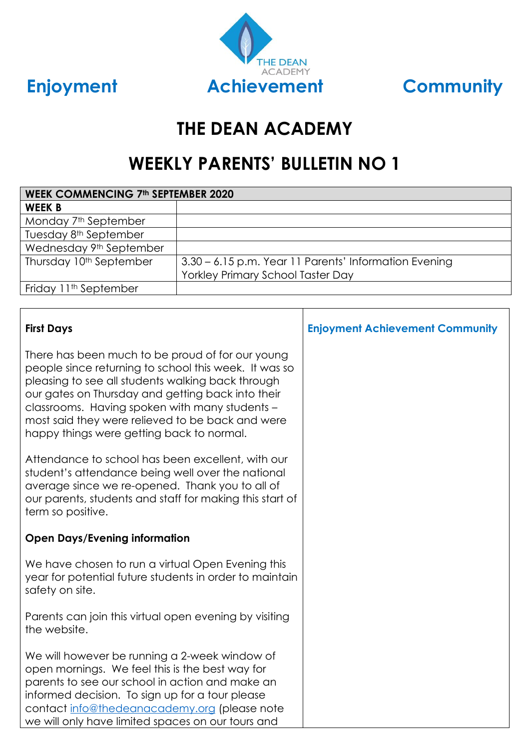



# **THE DEAN ACADEMY**

# **WEEKLY PARENTS' BULLETIN NO 1**

| <b>WEEK COMMENCING 7th SEPTEMBER 2020</b> |                                                       |  |
|-------------------------------------------|-------------------------------------------------------|--|
| <b>WEEK B</b>                             |                                                       |  |
| Monday 7 <sup>th</sup> September          |                                                       |  |
| Tuesday 8 <sup>th</sup> September         |                                                       |  |
| Wednesday 9th September                   |                                                       |  |
| Thursday 10 <sup>th</sup> September       | 3.30 – 6.15 p.m. Year 11 Parents' Information Evening |  |
|                                           | <b>Yorkley Primary School Taster Day</b>              |  |
| Friday 11 <sup>th</sup> September         |                                                       |  |

| <b>First Days</b>                                                                                                                                                                                                                                                                                                                                                      | <b>Enjoyment Achievement Community</b> |
|------------------------------------------------------------------------------------------------------------------------------------------------------------------------------------------------------------------------------------------------------------------------------------------------------------------------------------------------------------------------|----------------------------------------|
| There has been much to be proud of for our young<br>people since returning to school this week. It was so<br>pleasing to see all students walking back through<br>our gates on Thursday and getting back into their<br>classrooms. Having spoken with many students -<br>most said they were relieved to be back and were<br>happy things were getting back to normal. |                                        |
| Attendance to school has been excellent, with our<br>student's attendance being well over the national<br>average since we re-opened. Thank you to all of<br>our parents, students and staff for making this start of<br>term so positive.                                                                                                                             |                                        |
| <b>Open Days/Evening information</b>                                                                                                                                                                                                                                                                                                                                   |                                        |
| We have chosen to run a virtual Open Evening this<br>year for potential future students in order to maintain<br>safety on site.                                                                                                                                                                                                                                        |                                        |
| Parents can join this virtual open evening by visiting<br>the website.                                                                                                                                                                                                                                                                                                 |                                        |
| We will however be running a 2-week window of<br>open mornings. We feel this is the best way for<br>parents to see our school in action and make an<br>informed decision. To sign up for a tour please<br>contact info@thedeanacademy.org (please note<br>we will only have limited spaces on our tours and                                                            |                                        |